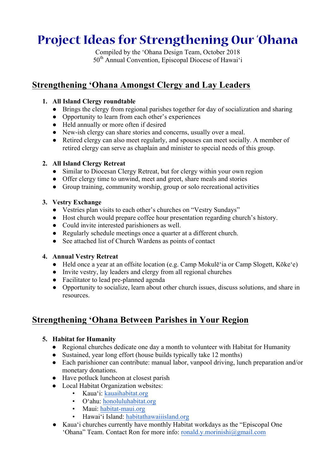# **Project Ideas for Strengthening Our 'Ohana**

Compiled by the 'Ohana Design Team, October 2018 50<sup>th</sup> Annual Convention, Episcopal Diocese of Hawai'i

# **Strengthening 'Ohana Amongst Clergy and Lay Leaders**

#### **1. All Island Clergy roundtable**

- Brings the clergy from regional parishes together for day of socialization and sharing
- Opportunity to learn from each other's experiences
- Held annually or more often if desired
- New-ish clergy can share stories and concerns, usually over a meal.
- Retired clergy can also meet regularly, and spouses can meet socially. A member of retired clergy can serve as chaplain and minister to special needs of this group.

### **2. All Island Clergy Retreat**

- Similar to Diocesan Clergy Retreat, but for clergy within your own region
- Offer clergy time to unwind, meet and greet, share meals and stories
- Group training, community worship, group or solo recreational activities

## **3. Vestry Exchange**

- Vestries plan visits to each other's churches on "Vestry Sundays"
- Host church would prepare coffee hour presentation regarding church's history.
- Could invite interested parishioners as well.
- Regularly schedule meetings once a quarter at a different church.
- See attached list of Church Wardens as points of contact

## **4. Annual Vestry Retreat**

- Held once a year at an offsite location (e.g. Camp Mokulē'ia or Camp Slogett, Kōke'e)
- Invite vestry, lay leaders and clergy from all regional churches
- Facilitator to lead pre-planned agenda
- Opportunity to socialize, learn about other church issues, discuss solutions, and share in resources.

# **Strengthening 'Ohana Between Parishes in Your Region**

## **5. Habitat for Humanity**

- Regional churches dedicate one day a month to volunteer with Habitat for Humanity
- Sustained, year long effort (house builds typically take 12 months)
- Each parishioner can contribute: manual labor, vanpool driving, lunch preparation and/or monetary donations.
- Have potluck luncheon at closest parish
- Local Habitat Organization websites:
	- Kaua'i: kauaihabitat.org
	- O'ahu: honoluluhabitat.org
	- Maui: habitat-maui.org
	- Hawai'i Island: habitathawaiiisland.org
- Kaua'i churches currently have monthly Habitat workdays as the "Episcopal One 'Ohana" Team. Contact Ron for more info: ronald.y.morinishi@gmail.com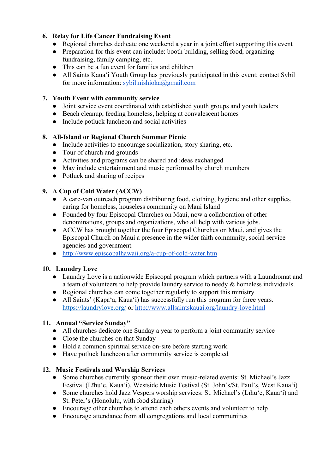#### **6. Relay for Life Cancer Fundraising Event**

- Regional churches dedicate one weekend a year in a joint effort supporting this event
- Preparation for this event can include: booth building, selling food, organizing fundraising, family camping, etc.
- This can be a fun event for families and children
- All Saints Kaua'i Youth Group has previously participated in this event; contact Sybil for more information: sybil.nishioka@gmail.com

#### **7. Youth Event with community service**

- Joint service event coordinated with established youth groups and youth leaders
- Beach cleanup, feeding homeless, helping at convalescent homes
- Include potluck luncheon and social activities

#### **8. All-Island or Regional Church Summer Picnic**

- Include activities to encourage socialization, story sharing, etc.
- Tour of church and grounds
- Activities and programs can be shared and ideas exchanged
- May include entertainment and music performed by church members
- Potluck and sharing of recipes

#### **9. A Cup of Cold Water (ACCW)**

- A care-van outreach program distributing food, clothing, hygiene and other supplies, caring for homeless, houseless community on Maui Island
- Founded by four Episcopal Churches on Maui, now a collaboration of other denominations, groups and organizations, who all help with various jobs.
- ACCW has brought together the four Episcopal Churches on Maui, and gives the Episcopal Church on Maui a presence in the wider faith community, social service agencies and government.
- http://www.episcopalhawaii.org/a-cup-of-cold-water.htm

#### **10. Laundry Love**

- Laundry Love is a nationwide Episcopal program which partners with a Laundromat and a team of volunteers to help provide laundry service to needy & homeless individuals.
- Regional churches can come together regularly to support this ministry
- All Saints' (Kapa'a, Kaua'i) has successfully run this program for three years. https://laundrylove.org/ or http://www.allsaintskauai.org/laundry-love.html

#### **11. Annual "Service Sunday"**

- All churches dedicate one Sunday a year to perform a joint community service
- Close the churches on that Sunday
- Hold a common spiritual service on-site before starting work.
- Have potluck luncheon after community service is completed

#### **12. Music Festivals and Worship Services**

- Some churches currently sponsor their own music-related events: St. Michael's Jazz Festival (Līhu'e, Kaua'i), Westside Music Festival (St. John's/St. Paul's, West Kaua'i)
- Some churches hold Jazz Vespers worship services: St. Michael's (Līhu'e, Kaua'i) and St. Peter's (Honolulu, with food sharing)
- Encourage other churches to attend each others events and volunteer to help
- Encourage attendance from all congregations and local communities